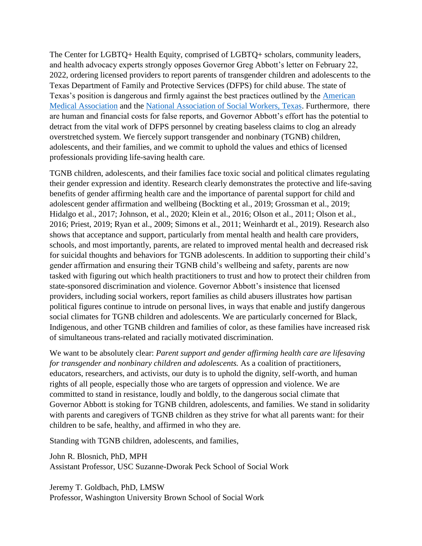The Center for LGBTQ+ Health Equity, comprised of LGBTQ+ scholars, community leaders, and health advocacy experts strongly opposes Governor Greg Abbott's letter on February 22, 2022, ordering licensed providers to report parents of transgender children and adolescents to the Texas Department of Family and Protective Services (DFPS) for child abuse. The state of Texas's position is dangerous and firmly against the best practices outlined by the [American](https://www.ama-assn.org/press-center/press-releases/ama-states-stop-interfering-health-care-transgender-children)  [Medical Association](https://www.ama-assn.org/press-center/press-releases/ama-states-stop-interfering-health-care-transgender-children) and the [National Association of Social Workers, Texas.](https://www.votervoice.net/mobile/NASWTX/campaigns/92266/respond) Furthermore, there are human and financial costs for false reports, and Governor Abbott's effort has the potential to detract from the vital work of DFPS personnel by creating baseless claims to clog an already overstretched system. We fiercely support transgender and nonbinary (TGNB) children, adolescents, and their families, and we commit to uphold the values and ethics of licensed professionals providing life-saving health care.

TGNB children, adolescents, and their families face toxic social and political climates regulating their gender expression and identity. Research clearly demonstrates the protective and life-saving benefits of gender affirming health care and the importance of parental support for child and adolescent gender affirmation and wellbeing (Bockting et al., 2019; Grossman et al., 2019; Hidalgo et al., 2017; Johnson, et al., 2020; Klein et al., 2016; Olson et al., 2011; Olson et al., 2016; Priest, 2019; Ryan et al., 2009; Simons et al., 2011; Weinhardt et al., 2019). Research also shows that acceptance and support, particularly from mental health and health care providers, schools, and most importantly, parents, are related to improved mental health and decreased risk for suicidal thoughts and behaviors for TGNB adolescents. In addition to supporting their child's gender affirmation and ensuring their TGNB child's wellbeing and safety, parents are now tasked with figuring out which health practitioners to trust and how to protect their children from state-sponsored discrimination and violence. Governor Abbott's insistence that licensed providers, including social workers, report families as child abusers illustrates how partisan political figures continue to intrude on personal lives, in ways that enable and justify dangerous social climates for TGNB children and adolescents. We are particularly concerned for Black, Indigenous, and other TGNB children and families of color, as these families have increased risk of simultaneous trans-related and racially motivated discrimination.

We want to be absolutely clear: *Parent support and gender affirming health care are lifesaving for transgender and nonbinary children and adolescents.* As a coalition of practitioners, educators, researchers, and activists, our duty is to uphold the dignity, self-worth, and human rights of all people, especially those who are targets of oppression and violence. We are committed to stand in resistance, loudly and boldly, to the dangerous social climate that Governor Abbott is stoking for TGNB children, adolescents, and families. We stand in solidarity with parents and caregivers of TGNB children as they strive for what all parents want: for their children to be safe, healthy, and affirmed in who they are.

Standing with TGNB children, adolescents, and families,

John R. Blosnich, PhD, MPH Assistant Professor, USC Suzanne-Dworak Peck School of Social Work

Jeremy T. Goldbach, PhD, LMSW Professor, Washington University Brown School of Social Work